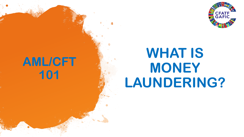

## **AML/CFT 101**

# **WHAT IS MONEY LAUNDERING?**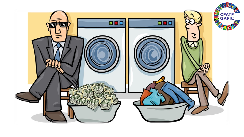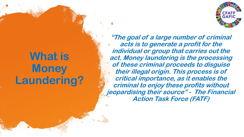## **What is Money Laundering?**



**"The goal of a large number of criminal acts is to generate a profit for the individual or group that carries out the act. Money laundering is the processing of these criminal proceeds to disguise their illegal origin. This process is of critical importance, as it enables the criminal to enjoy these profits without jeopardising their source" - The Financial Action Task Force (FATF)**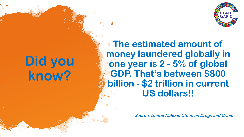

## **Did you know?**

**The estimated amount of money laundered globally in one year is 2 - 5% of global GDP. That's between \$800 billion - \$2 trillion in current US dollars!!**

**Source: United Nations Office on Drugs and Crime**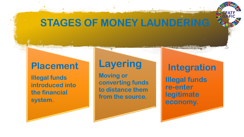### **STAGES OF MONEY LAUNDERING**

### **Placement**

**Illegal funds introduced into the financial system.**

### **Layering**

**Moving or converting funds to distance them from the source.**

**Integration Illegal funds re-enter legitimate economy.**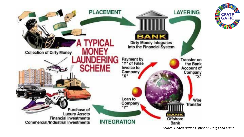

*Source: United Nations Office on Drugs and Crime*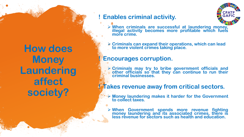### **How does Money Laundering affect society?**

#### **! Enables criminal activity.**



- ➢ **When criminals are successful at laundering money, illegal activity becomes more profitable which fuels more crime.**
- ➢ **Criminals can expand their operations, which can lead to more violent crimes taking place.**

#### **! Encourages corruption.**

➢ **Criminals may try to bribe government officials and other officials so that they can continue to run their criminal businesses.**

#### **! Takes revenue away from critical sectors.**

- ➢ **Money laundering makes it harder for the Government to collect taxes.**
- ➢ **When Government spends more revenue fighting money laundering and its associated crimes, there is less revenue for sectors such as health and education.**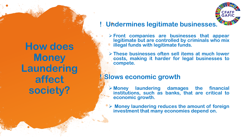### **How does Money Laundering affect society?**



#### **! Undermines legitimate businesses.**

- ➢**Front companies are businesses that appear legitimate but are controlled by criminals who mix illegal funds with legitimate funds.**
- ➢**These businesses often sell items at much lower costs, making it harder for legal businesses to compete.**

#### **! Slows economic growth**

- ➢ **Money laundering damages the financial institutions, such as banks, that are critical to economic growth.**
- ➢ **Money laundering reduces the amount of foreign investment that many economies depend on.**